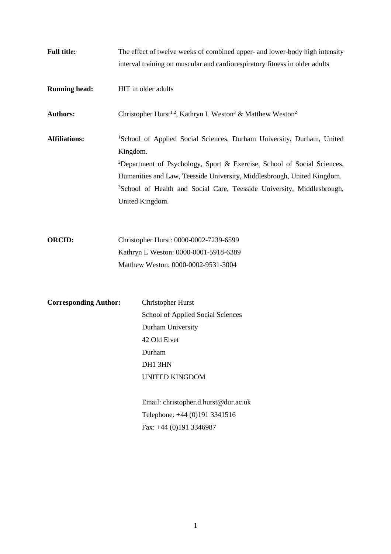| <b>Full title:</b>           | The effect of twelve weeks of combined upper- and lower-body high intensity<br>interval training on muscular and cardiorespiratory fitness in older adults                                                                                                                                                                                                               |
|------------------------------|--------------------------------------------------------------------------------------------------------------------------------------------------------------------------------------------------------------------------------------------------------------------------------------------------------------------------------------------------------------------------|
| <b>Running head:</b>         | HIT in older adults                                                                                                                                                                                                                                                                                                                                                      |
| <b>Authors:</b>              | Christopher Hurst <sup>1,2</sup> , Kathryn L Weston <sup>3</sup> & Matthew Weston <sup>2</sup>                                                                                                                                                                                                                                                                           |
| <b>Affiliations:</b>         | <sup>1</sup> School of Applied Social Sciences, Durham University, Durham, United<br>Kingdom.<br><sup>2</sup> Department of Psychology, Sport & Exercise, School of Social Sciences,<br>Humanities and Law, Teesside University, Middlesbrough, United Kingdom.<br><sup>3</sup> School of Health and Social Care, Teesside University, Middlesbrough,<br>United Kingdom. |
| <b>ORCID:</b>                | Christopher Hurst: 0000-0002-7239-6599<br>Kathryn L Weston: 0000-0001-5918-6389<br>Matthew Weston: 0000-0002-9531-3004                                                                                                                                                                                                                                                   |
| <b>Corresponding Author:</b> | <b>Christopher Hurst</b><br>School of Applied Social Sciences<br>Durham University<br>42 Old Elvet<br>Durham<br>DH1 3HN<br><b>UNITED KINGDOM</b><br>Email: christopher.d.hurst@dur.ac.uk<br>Telephone: +44 (0)191 3341516<br>Fax: +44 (0)191 3346987                                                                                                                     |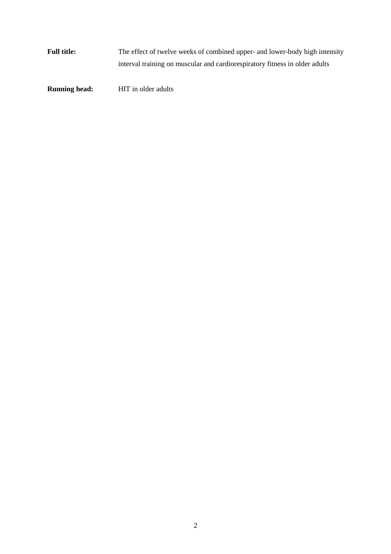**Full title:** The effect of twelve weeks of combined upper- and lower-body high intensity interval training on muscular and cardiorespiratory fitness in older adults

**Running head:** HIT in older adults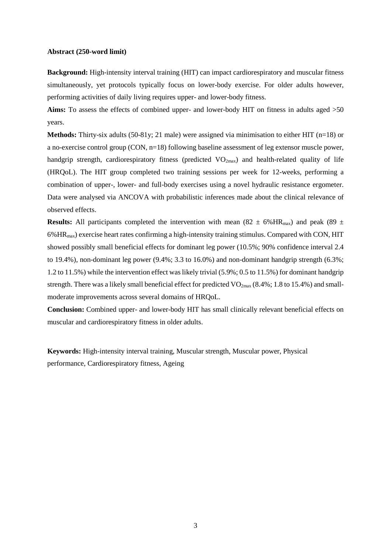#### **Abstract (250-word limit)**

**Background:** High-intensity interval training (HIT) can impact cardiorespiratory and muscular fitness simultaneously, yet protocols typically focus on lower-body exercise. For older adults however, performing activities of daily living requires upper- and lower-body fitness.

Aims: To assess the effects of combined upper- and lower-body HIT on fitness in adults aged  $>50$ years.

**Methods:** Thirty-six adults (50-81y; 21 male) were assigned via minimisation to either HIT (n=18) or a no-exercise control group (CON, n=18) following baseline assessment of leg extensor muscle power, handgrip strength, cardiorespiratory fitness (predicted  $VO_{2max}$ ) and health-related quality of life (HRQoL). The HIT group completed two training sessions per week for 12-weeks, performing a combination of upper-, lower- and full-body exercises using a novel hydraulic resistance ergometer. Data were analysed via ANCOVA with probabilistic inferences made about the clinical relevance of observed effects.

**Results:** All participants completed the intervention with mean (82  $\pm$  6% HR<sub>max</sub>) and peak (89  $\pm$  $6\%$  HR<sub>max</sub>) exercise heart rates confirming a high-intensity training stimulus. Compared with CON, HIT showed possibly small beneficial effects for dominant leg power (10.5%; 90% confidence interval 2.4 to 19.4%), non-dominant leg power (9.4%; 3.3 to 16.0%) and non-dominant handgrip strength (6.3%; 1.2 to 11.5%) while the intervention effect was likely trivial (5.9%; 0.5 to 11.5%) for dominant handgrip strength. There was a likely small beneficial effect for predicted  $VO_{2max}$  (8.4%; 1.8 to 15.4%) and smallmoderate improvements across several domains of HRQoL.

**Conclusion:** Combined upper- and lower-body HIT has small clinically relevant beneficial effects on muscular and cardiorespiratory fitness in older adults.

**Keywords:** High-intensity interval training, Muscular strength, Muscular power, Physical performance, Cardiorespiratory fitness, Ageing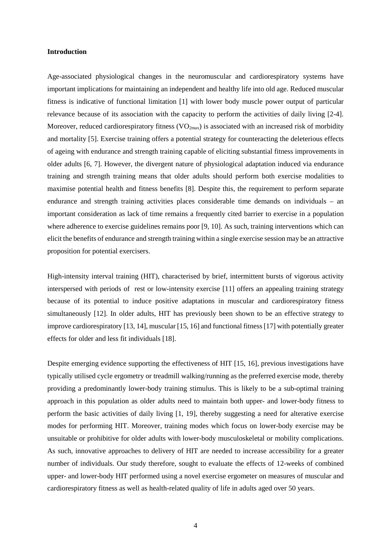## **Introduction**

Age-associated physiological changes in the neuromuscular and cardiorespiratory systems have important implications for maintaining an independent and healthy life into old age. Reduced muscular fitness is indicative of functional limitation [1] with lower body muscle power output of particular relevance because of its association with the capacity to perform the activities of daily living [2-4]. Moreover, reduced cardiorespiratory fitness  $(VO_{2max})$  is associated with an increased risk of morbidity and mortality [5]. Exercise training offers a potential strategy for counteracting the deleterious effects of ageing with endurance and strength training capable of eliciting substantial fitness improvements in older adults [6, 7]. However, the divergent nature of physiological adaptation induced via endurance training and strength training means that older adults should perform both exercise modalities to maximise potential health and fitness benefits [8]. Despite this, the requirement to perform separate endurance and strength training activities places considerable time demands on individuals – an important consideration as lack of time remains a frequently cited barrier to exercise in a population where adherence to exercise guidelines remains poor [9, 10]. As such, training interventions which can elicit the benefits of endurance and strength training within a single exercise session may be an attractive proposition for potential exercisers.

High-intensity interval training (HIT), characterised by brief, intermittent bursts of vigorous activity interspersed with periods of rest or low-intensity exercise [11] offers an appealing training strategy because of its potential to induce positive adaptations in muscular and cardiorespiratory fitness simultaneously [12]. In older adults, HIT has previously been shown to be an effective strategy to improve cardiorespiratory [13, 14], muscular [15, 16] and functional fitness [17] with potentially greater effects for older and less fit individuals [18].

Despite emerging evidence supporting the effectiveness of HIT [15, 16], previous investigations have typically utilised cycle ergometry or treadmill walking/running as the preferred exercise mode, thereby providing a predominantly lower-body training stimulus. This is likely to be a sub-optimal training approach in this population as older adults need to maintain both upper- and lower-body fitness to perform the basic activities of daily living [1, 19], thereby suggesting a need for alterative exercise modes for performing HIT. Moreover, training modes which focus on lower-body exercise may be unsuitable or prohibitive for older adults with lower-body musculoskeletal or mobility complications. As such, innovative approaches to delivery of HIT are needed to increase accessibility for a greater number of individuals. Our study therefore, sought to evaluate the effects of 12-weeks of combined upper- and lower-body HIT performed using a novel exercise ergometer on measures of muscular and cardiorespiratory fitness as well as health-related quality of life in adults aged over 50 years.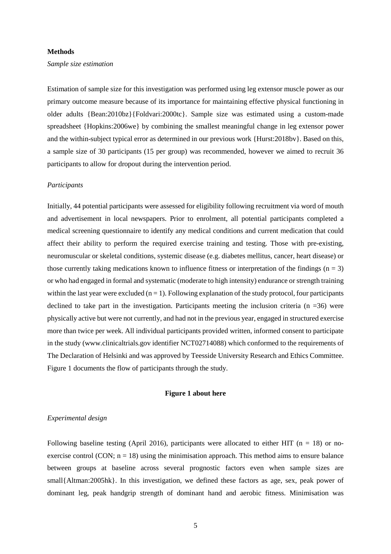### **Methods**

#### *Sample size estimation*

Estimation of sample size for this investigation was performed using leg extensor muscle power as our primary outcome measure because of its importance for maintaining effective physical functioning in older adults {Bean:2010bz}{Foldvari:2000tc}. Sample size was estimated using a custom-made spreadsheet {Hopkins:2006we} by combining the smallest meaningful change in leg extensor power and the within-subject typical error as determined in our previous work {Hurst:2018bv}. Based on this, a sample size of 30 participants (15 per group) was recommended, however we aimed to recruit 36 participants to allow for dropout during the intervention period.

# *Participants*

Initially, 44 potential participants were assessed for eligibility following recruitment via word of mouth and advertisement in local newspapers. Prior to enrolment, all potential participants completed a medical screening questionnaire to identify any medical conditions and current medication that could affect their ability to perform the required exercise training and testing. Those with pre-existing, neuromuscular or skeletal conditions, systemic disease (e.g. diabetes mellitus, cancer, heart disease) or those currently taking medications known to influence fitness or interpretation of the findings  $(n = 3)$ or who had engaged in formal and systematic (moderate to high intensity) endurance or strength training within the last year were excluded  $(n = 1)$ . Following explanation of the study protocol, four participants declined to take part in the investigation. Participants meeting the inclusion criteria ( $n = 36$ ) were physically active but were not currently, and had not in the previous year, engaged in structured exercise more than twice per week. All individual participants provided written, informed consent to participate in the study (www.clinicaltrials.gov identifier NCT02714088) which conformed to the requirements of The Declaration of Helsinki and was approved by Teesside University Research and Ethics Committee. Figure 1 documents the flow of participants through the study.

# **Figure 1 about here**

## *Experimental design*

Following baseline testing (April 2016), participants were allocated to either HIT ( $n = 18$ ) or noexercise control (CON;  $n = 18$ ) using the minimisation approach. This method aims to ensure balance between groups at baseline across several prognostic factors even when sample sizes are small{Altman:2005hk}. In this investigation, we defined these factors as age, sex, peak power of dominant leg, peak handgrip strength of dominant hand and aerobic fitness. Minimisation was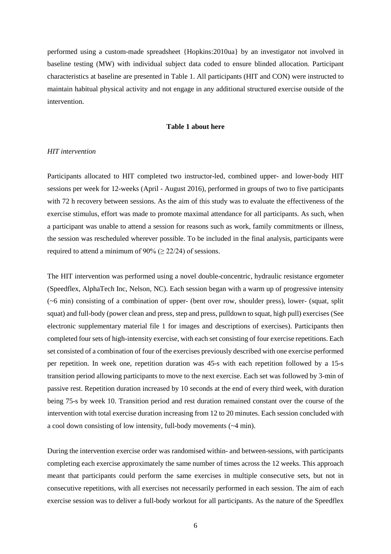performed using a custom-made spreadsheet {Hopkins:2010ua} by an investigator not involved in baseline testing (MW) with individual subject data coded to ensure blinded allocation. Participant characteristics at baseline are presented in Table 1. All participants (HIT and CON) were instructed to maintain habitual physical activity and not engage in any additional structured exercise outside of the intervention.

# **Table 1 about here**

## *HIT intervention*

Participants allocated to HIT completed two instructor-led, combined upper- and lower-body HIT sessions per week for 12-weeks (April - August 2016), performed in groups of two to five participants with 72 h recovery between sessions. As the aim of this study was to evaluate the effectiveness of the exercise stimulus, effort was made to promote maximal attendance for all participants. As such, when a participant was unable to attend a session for reasons such as work, family commitments or illness, the session was rescheduled wherever possible. To be included in the final analysis, participants were required to attend a minimum of 90% ( $\geq$  22/24) of sessions.

The HIT intervention was performed using a novel double-concentric, hydraulic resistance ergometer (Speedflex, AlphaTech Inc, Nelson, NC). Each session began with a warm up of progressive intensity (~6 min) consisting of a combination of upper- (bent over row, shoulder press), lower- (squat, split squat) and full-body (power clean and press, step and press, pulldown to squat, high pull) exercises (See electronic supplementary material file 1 for images and descriptions of exercises). Participants then completed four sets of high-intensity exercise, with each set consisting of four exercise repetitions. Each set consisted of a combination of four of the exercises previously described with one exercise performed per repetition. In week one, repetition duration was 45-s with each repetition followed by a 15-s transition period allowing participants to move to the next exercise. Each set was followed by 3-min of passive rest. Repetition duration increased by 10 seconds at the end of every third week, with duration being 75-s by week 10. Transition period and rest duration remained constant over the course of the intervention with total exercise duration increasing from 12 to 20 minutes. Each session concluded with a cool down consisting of low intensity, full-body movements (~4 min).

During the intervention exercise order was randomised within- and between-sessions, with participants completing each exercise approximately the same number of times across the 12 weeks. This approach meant that participants could perform the same exercises in multiple consecutive sets, but not in consecutive repetitions, with all exercises not necessarily performed in each session. The aim of each exercise session was to deliver a full-body workout for all participants. As the nature of the Speedflex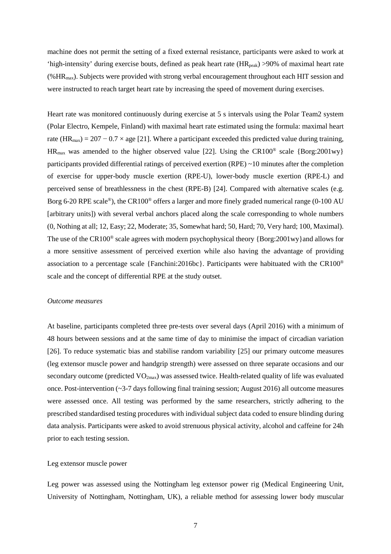machine does not permit the setting of a fixed external resistance, participants were asked to work at 'high-intensity' during exercise bouts, defined as peak heart rate  $(HR_{peak}) > 90\%$  of maximal heart rate (%HRmax). Subjects were provided with strong verbal encouragement throughout each HIT session and were instructed to reach target heart rate by increasing the speed of movement during exercises.

Heart rate was monitored continuously during exercise at 5 s intervals using the Polar Team2 system (Polar Electro, Kempele, Finland) with maximal heart rate estimated using the formula: maximal heart rate (HR<sub>max</sub>) = 207 – 0.7 × age [21]. Where a participant exceeded this predicted value during training,  $HR_{max}$  was amended to the higher observed value [22]. Using the CR100<sup>®</sup> scale {Borg:2001wy} participants provided differential ratings of perceived exertion (RPE) ~10 minutes after the completion of exercise for upper-body muscle exertion (RPE-U), lower-body muscle exertion (RPE-L) and perceived sense of breathlessness in the chest (RPE-B) [24]. Compared with alternative scales (e.g. Borg 6-20 RPE scale®), the CR100® offers a larger and more finely graded numerical range (0-100 AU [arbitrary units]) with several verbal anchors placed along the scale corresponding to whole numbers (0, Nothing at all; 12, Easy; 22, Moderate; 35, Somewhat hard; 50, Hard; 70, Very hard; 100, Maximal). The use of the CR100<sup>®</sup> scale agrees with modern psychophysical theory {Borg:2001wy}and allows for a more sensitive assessment of perceived exertion while also having the advantage of providing association to a percentage scale {Fanchini:2016bc}. Participants were habituated with the CR100® scale and the concept of differential RPE at the study outset.

## *Outcome measures*

At baseline, participants completed three pre-tests over several days (April 2016) with a minimum of 48 hours between sessions and at the same time of day to minimise the impact of circadian variation [26]. To reduce systematic bias and stabilise random variability [25] our primary outcome measures (leg extensor muscle power and handgrip strength) were assessed on three separate occasions and our secondary outcome (predicted VO<sub>2max</sub>) was assessed twice. Health-related quality of life was evaluated once. Post-intervention (~3-7 days following final training session; August 2016) all outcome measures were assessed once. All testing was performed by the same researchers, strictly adhering to the prescribed standardised testing procedures with individual subject data coded to ensure blinding during data analysis. Participants were asked to avoid strenuous physical activity, alcohol and caffeine for 24h prior to each testing session.

# Leg extensor muscle power

Leg power was assessed using the Nottingham leg extensor power rig (Medical Engineering Unit, University of Nottingham, Nottingham, UK), a reliable method for assessing lower body muscular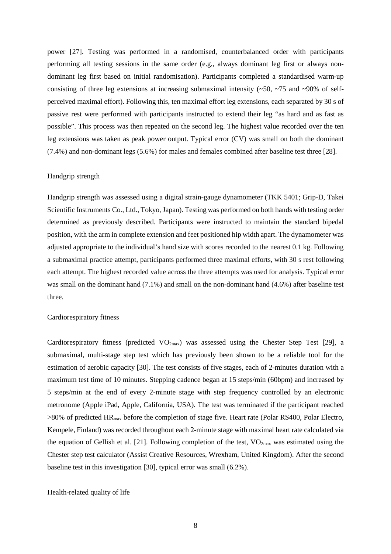power [27]. Testing was performed in a randomised, counterbalanced order with participants performing all testing sessions in the same order (e.g., always dominant leg first or always nondominant leg first based on initial randomisation). Participants completed a standardised warm-up consisting of three leg extensions at increasing submaximal intensity  $(\sim 50, \sim 75$  and  $\sim 90\%$  of selfperceived maximal effort). Following this, ten maximal effort leg extensions, each separated by 30 s of passive rest were performed with participants instructed to extend their leg "as hard and as fast as possible". This process was then repeated on the second leg. The highest value recorded over the ten leg extensions was taken as peak power output. Typical error (CV) was small on both the dominant (7.4%) and non-dominant legs (5.6%) for males and females combined after baseline test three [28].

# Handgrip strength

Handgrip strength was assessed using a digital strain-gauge dynamometer (TKK 5401; Grip-D, Takei Scientific Instruments Co., Ltd., Tokyo, Japan). Testing was performed on both hands with testing order determined as previously described. Participants were instructed to maintain the standard bipedal position, with the arm in complete extension and feet positioned hip width apart. The dynamometer was adjusted appropriate to the individual's hand size with scores recorded to the nearest 0.1 kg. Following a submaximal practice attempt, participants performed three maximal efforts, with 30 s rest following each attempt. The highest recorded value across the three attempts was used for analysis. Typical error was small on the dominant hand (7.1%) and small on the non-dominant hand (4.6%) after baseline test three.

#### Cardiorespiratory fitness

Cardiorespiratory fitness (predicted  $VO_{2max}$ ) was assessed using the Chester Step Test [29], a submaximal, multi-stage step test which has previously been shown to be a reliable tool for the estimation of aerobic capacity [30]. The test consists of five stages, each of 2-minutes duration with a maximum test time of 10 minutes. Stepping cadence began at 15 steps/min (60bpm) and increased by 5 steps/min at the end of every 2-minute stage with step frequency controlled by an electronic metronome (Apple iPad, Apple, California, USA). The test was terminated if the participant reached >80% of predicted HRmax before the completion of stage five. Heart rate (Polar RS400, Polar Electro, Kempele, Finland) was recorded throughout each 2-minute stage with maximal heart rate calculated via the equation of Gellish et al. [21]. Following completion of the test, VO2max was estimated using the Chester step test calculator (Assist Creative Resources, Wrexham, United Kingdom). After the second baseline test in this investigation [30], typical error was small (6.2%).

## Health-related quality of life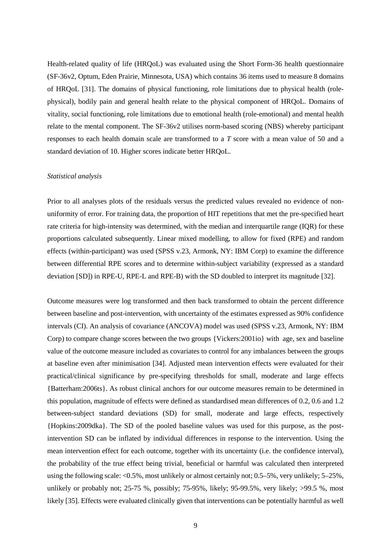Health-related quality of life (HRQoL) was evaluated using the Short Form-36 health questionnaire (SF-36v2, Optum, Eden Prairie, Minnesota, USA) which contains 36 items used to measure 8 domains of HRQoL [31]. The domains of physical functioning, role limitations due to physical health (rolephysical), bodily pain and general health relate to the physical component of HRQoL. Domains of vitality, social functioning, role limitations due to emotional health (role-emotional) and mental health relate to the mental component. The SF-36v2 utilises norm-based scoring (NBS) whereby participant responses to each health domain scale are transformed to a *T* score with a mean value of 50 and a standard deviation of 10. Higher scores indicate better HRQoL.

## *Statistical analysis*

Prior to all analyses plots of the residuals versus the predicted values revealed no evidence of nonuniformity of error. For training data, the proportion of HIT repetitions that met the pre-specified heart rate criteria for high-intensity was determined, with the median and interquartile range (IQR) for these proportions calculated subsequently. Linear mixed modelling, to allow for fixed (RPE) and random effects (within-participant) was used (SPSS v.23, Armonk, NY: IBM Corp) to examine the difference between differential RPE scores and to determine within-subject variability (expressed as a standard deviation [SD]) in RPE-U, RPE-L and RPE-B) with the SD doubled to interpret its magnitude [32].

Outcome measures were log transformed and then back transformed to obtain the percent difference between baseline and post-intervention, with uncertainty of the estimates expressed as 90% confidence intervals (CI). An analysis of covariance (ANCOVA) model was used (SPSS v.23, Armonk, NY: IBM Corp) to compare change scores between the two groups {Vickers:2001io} with age, sex and baseline value of the outcome measure included as covariates to control for any imbalances between the groups at baseline even after minimisation [34]. Adjusted mean intervention effects were evaluated for their practical/clinical significance by pre-specifying thresholds for small, moderate and large effects {Batterham:2006ts}. As robust clinical anchors for our outcome measures remain to be determined in this population, magnitude of effects were defined as standardised mean differences of 0.2, 0.6 and 1.2 between-subject standard deviations (SD) for small, moderate and large effects, respectively {Hopkins:2009dka}. The SD of the pooled baseline values was used for this purpose, as the postintervention SD can be inflated by individual differences in response to the intervention. Using the mean intervention effect for each outcome, together with its uncertainty (i.e. the confidence interval), the probability of the true effect being trivial, beneficial or harmful was calculated then interpreted using the following scale: <0.5%, most unlikely or almost certainly not; 0.5–5%, very unlikely; 5–25%, unlikely or probably not; 25-75 %, possibly; 75-95%, likely; 95-99.5%, very likely; >99.5 %, most likely [35]. Effects were evaluated clinically given that interventions can be potentially harmful as well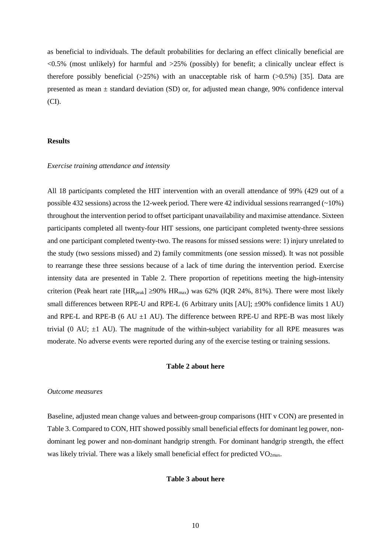as beneficial to individuals. The default probabilities for declaring an effect clinically beneficial are  $\langle 0.5\% \rangle$  (most unlikely) for harmful and  $>25\%$  (possibly) for benefit; a clinically unclear effect is therefore possibly beneficial  $(>25%)$  with an unacceptable risk of harm  $(>0.5%)$  [35]. Data are presented as mean  $\pm$  standard deviation (SD) or, for adjusted mean change, 90% confidence interval (CI).

# **Results**

#### *Exercise training attendance and intensity*

All 18 participants completed the HIT intervention with an overall attendance of 99% (429 out of a possible 432 sessions) across the 12-week period. There were 42 individual sessions rearranged  $(-10\%)$ throughout the intervention period to offset participant unavailability and maximise attendance. Sixteen participants completed all twenty-four HIT sessions, one participant completed twenty-three sessions and one participant completed twenty-two. The reasons for missed sessions were: 1) injury unrelated to the study (two sessions missed) and 2) family commitments (one session missed). It was not possible to rearrange these three sessions because of a lack of time during the intervention period. Exercise intensity data are presented in Table 2. There proportion of repetitions meeting the high-intensity criterion (Peak heart rate  $[HR_{peak}] \ge 90\% HR_{max}$ ) was 62% (IQR 24%, 81%). There were most likely small differences between RPE-U and RPE-L (6 Arbitrary units [AU]; ±90% confidence limits 1 AU) and RPE-L and RPE-B (6 AU  $\pm$ 1 AU). The difference between RPE-U and RPE-B was most likely trivial (0 AU;  $\pm$ 1 AU). The magnitude of the within-subject variability for all RPE measures was moderate. No adverse events were reported during any of the exercise testing or training sessions.

# **Table 2 about here**

## *Outcome measures*

Baseline, adjusted mean change values and between-group comparisons (HIT v CON) are presented in Table 3. Compared to CON, HIT showed possibly small beneficial effects for dominant leg power, nondominant leg power and non-dominant handgrip strength. For dominant handgrip strength, the effect was likely trivial. There was a likely small beneficial effect for predicted  $VO<sub>2max</sub>$ .

## **Table 3 about here**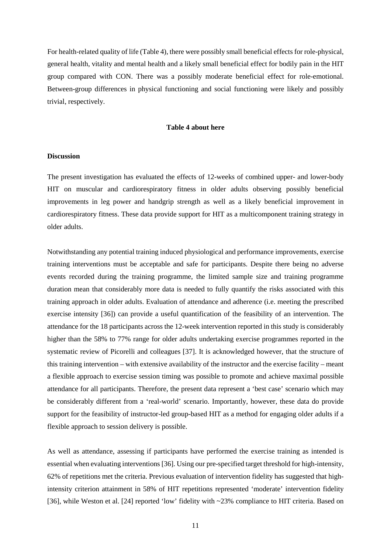For health-related quality of life (Table 4), there were possibly small beneficial effects for role-physical, general health, vitality and mental health and a likely small beneficial effect for bodily pain in the HIT group compared with CON. There was a possibly moderate beneficial effect for role-emotional. Between-group differences in physical functioning and social functioning were likely and possibly trivial, respectively.

# **Table 4 about here**

## **Discussion**

The present investigation has evaluated the effects of 12-weeks of combined upper- and lower-body HIT on muscular and cardiorespiratory fitness in older adults observing possibly beneficial improvements in leg power and handgrip strength as well as a likely beneficial improvement in cardiorespiratory fitness. These data provide support for HIT as a multicomponent training strategy in older adults.

Notwithstanding any potential training induced physiological and performance improvements, exercise training interventions must be acceptable and safe for participants. Despite there being no adverse events recorded during the training programme, the limited sample size and training programme duration mean that considerably more data is needed to fully quantify the risks associated with this training approach in older adults. Evaluation of attendance and adherence (i.e. meeting the prescribed exercise intensity [36]) can provide a useful quantification of the feasibility of an intervention. The attendance for the 18 participants across the 12-week intervention reported in this study is considerably higher than the 58% to 77% range for older adults undertaking exercise programmes reported in the systematic review of Picorelli and colleagues [37]. It is acknowledged however, that the structure of this training intervention – with extensive availability of the instructor and the exercise facility – meant a flexible approach to exercise session timing was possible to promote and achieve maximal possible attendance for all participants. Therefore, the present data represent a 'best case' scenario which may be considerably different from a 'real-world' scenario. Importantly, however, these data do provide support for the feasibility of instructor-led group-based HIT as a method for engaging older adults if a flexible approach to session delivery is possible.

As well as attendance, assessing if participants have performed the exercise training as intended is essential when evaluating interventions [36]. Using our pre-specified target threshold for high-intensity, 62% of repetitions met the criteria. Previous evaluation of intervention fidelity has suggested that highintensity criterion attainment in 58% of HIT repetitions represented 'moderate' intervention fidelity [36], while Weston et al. [24] reported 'low' fidelity with ~23% compliance to HIT criteria. Based on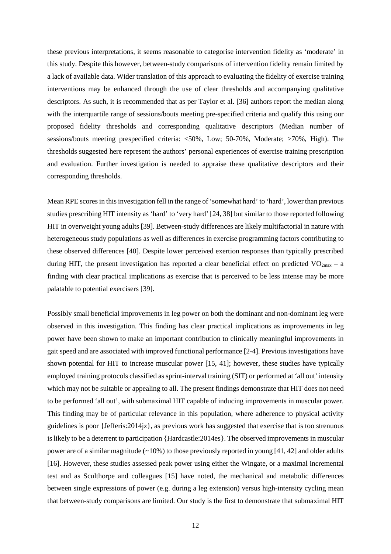these previous interpretations, it seems reasonable to categorise intervention fidelity as 'moderate' in this study. Despite this however, between-study comparisons of intervention fidelity remain limited by a lack of available data. Wider translation of this approach to evaluating the fidelity of exercise training interventions may be enhanced through the use of clear thresholds and accompanying qualitative descriptors. As such, it is recommended that as per Taylor et al. [36] authors report the median along with the interquartile range of sessions/bouts meeting pre-specified criteria and qualify this using our proposed fidelity thresholds and corresponding qualitative descriptors (Median number of sessions/bouts meeting prespecified criteria: <50%, Low; 50-70%, Moderate; >70%, High). The thresholds suggested here represent the authors' personal experiences of exercise training prescription and evaluation. Further investigation is needed to appraise these qualitative descriptors and their corresponding thresholds.

Mean RPE scores in this investigation fell in the range of 'somewhat hard' to 'hard', lower than previous studies prescribing HIT intensity as 'hard' to 'very hard' [24, 38] but similar to those reported following HIT in overweight young adults [39]. Between-study differences are likely multifactorial in nature with heterogeneous study populations as well as differences in exercise programming factors contributing to these observed differences [40]. Despite lower perceived exertion responses than typically prescribed during HIT, the present investigation has reported a clear beneficial effect on predicted  $VO_{2max} - a$ finding with clear practical implications as exercise that is perceived to be less intense may be more palatable to potential exercisers [39].

Possibly small beneficial improvements in leg power on both the dominant and non-dominant leg were observed in this investigation. This finding has clear practical implications as improvements in leg power have been shown to make an important contribution to clinically meaningful improvements in gait speed and are associated with improved functional performance [2-4]. Previous investigations have shown potential for HIT to increase muscular power [15, 41]; however, these studies have typically employed training protocols classified as sprint-interval training (SIT) or performed at 'all out' intensity which may not be suitable or appealing to all. The present findings demonstrate that HIT does not need to be performed 'all out', with submaximal HIT capable of inducing improvements in muscular power. This finding may be of particular relevance in this population, where adherence to physical activity guidelines is poor {Jefferis:2014jz}, as previous work has suggested that exercise that is too strenuous is likely to be a deterrent to participation {Hardcastle:2014es}. The observed improvements in muscular power are of a similar magnitude  $(\sim 10\%)$  to those previously reported in young [41, 42] and older adults [16]. However, these studies assessed peak power using either the Wingate, or a maximal incremental test and as Sculthorpe and colleagues [15] have noted, the mechanical and metabolic differences between single expressions of power (e.g. during a leg extension) versus high-intensity cycling mean that between-study comparisons are limited. Our study is the first to demonstrate that submaximal HIT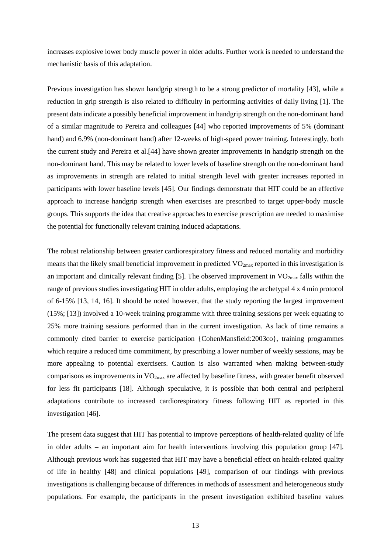increases explosive lower body muscle power in older adults. Further work is needed to understand the mechanistic basis of this adaptation.

Previous investigation has shown handgrip strength to be a strong predictor of mortality [43], while a reduction in grip strength is also related to difficulty in performing activities of daily living [1]. The present data indicate a possibly beneficial improvement in handgrip strength on the non-dominant hand of a similar magnitude to Pereira and colleagues [44] who reported improvements of 5% (dominant hand) and 6.9% (non-dominant hand) after 12-weeks of high-speed power training. Interestingly, both the current study and Pereira et al.[44] have shown greater improvements in handgrip strength on the non-dominant hand. This may be related to lower levels of baseline strength on the non-dominant hand as improvements in strength are related to initial strength level with greater increases reported in participants with lower baseline levels [45]. Our findings demonstrate that HIT could be an effective approach to increase handgrip strength when exercises are prescribed to target upper-body muscle groups. This supports the idea that creative approaches to exercise prescription are needed to maximise the potential for functionally relevant training induced adaptations.

The robust relationship between greater cardiorespiratory fitness and reduced mortality and morbidity means that the likely small beneficial improvement in predicted  $VO_{2max}$  reported in this investigation is an important and clinically relevant finding  $[5]$ . The observed improvement in  $VO<sub>2max</sub>$  falls within the range of previous studies investigating HIT in older adults, employing the archetypal 4 x 4 min protocol of 6-15% [13, 14, 16]. It should be noted however, that the study reporting the largest improvement (15%; [13]) involved a 10-week training programme with three training sessions per week equating to 25% more training sessions performed than in the current investigation. As lack of time remains a commonly cited barrier to exercise participation {CohenMansfield:2003co}, training programmes which require a reduced time commitment, by prescribing a lower number of weekly sessions, may be more appealing to potential exercisers. Caution is also warranted when making between-study comparisons as improvements in VO2max are affected by baseline fitness, with greater benefit observed for less fit participants [18]. Although speculative, it is possible that both central and peripheral adaptations contribute to increased cardiorespiratory fitness following HIT as reported in this investigation [46].

The present data suggest that HIT has potential to improve perceptions of health-related quality of life in older adults – an important aim for health interventions involving this population group [47]. Although previous work has suggested that HIT may have a beneficial effect on health-related quality of life in healthy [48] and clinical populations [49], comparison of our findings with previous investigations is challenging because of differences in methods of assessment and heterogeneous study populations. For example, the participants in the present investigation exhibited baseline values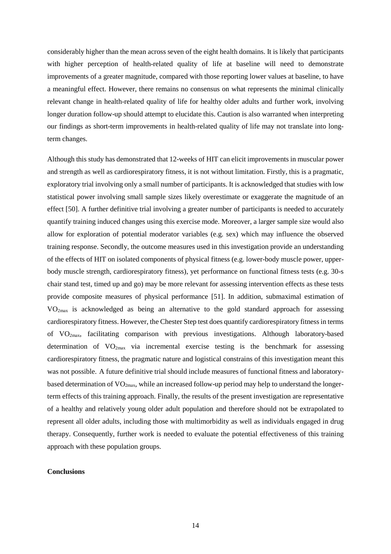considerably higher than the mean across seven of the eight health domains. It is likely that participants with higher perception of health-related quality of life at baseline will need to demonstrate improvements of a greater magnitude, compared with those reporting lower values at baseline, to have a meaningful effect. However, there remains no consensus on what represents the minimal clinically relevant change in health-related quality of life for healthy older adults and further work, involving longer duration follow-up should attempt to elucidate this. Caution is also warranted when interpreting our findings as short-term improvements in health-related quality of life may not translate into longterm changes.

Although this study has demonstrated that 12-weeks of HIT can elicit improvements in muscular power and strength as well as cardiorespiratory fitness, it is not without limitation. Firstly, this is a pragmatic, exploratory trial involving only a small number of participants. It is acknowledged that studies with low statistical power involving small sample sizes likely overestimate or exaggerate the magnitude of an effect [50]. A further definitive trial involving a greater number of participants is needed to accurately quantify training induced changes using this exercise mode. Moreover, a larger sample size would also allow for exploration of potential moderator variables (e.g. sex) which may influence the observed training response. Secondly, the outcome measures used in this investigation provide an understanding of the effects of HIT on isolated components of physical fitness (e.g. lower-body muscle power, upperbody muscle strength, cardiorespiratory fitness), yet performance on functional fitness tests (e.g. 30-s chair stand test, timed up and go) may be more relevant for assessing intervention effects as these tests provide composite measures of physical performance [51]. In addition, submaximal estimation of VO2max is acknowledged as being an alternative to the gold standard approach for assessing cardiorespiratory fitness. However, the Chester Step test does quantify cardiorespiratory fitness in terms of VO2max, facilitating comparison with previous investigations. Although laboratory-based determination of  $VO<sub>2max</sub>$  via incremental exercise testing is the benchmark for assessing cardiorespiratory fitness, the pragmatic nature and logistical constrains of this investigation meant this was not possible. A future definitive trial should include measures of functional fitness and laboratorybased determination of VO<sub>2max</sub>, while an increased follow-up period may help to understand the longerterm effects of this training approach. Finally, the results of the present investigation are representative of a healthy and relatively young older adult population and therefore should not be extrapolated to represent all older adults, including those with multimorbidity as well as individuals engaged in drug therapy. Consequently, further work is needed to evaluate the potential effectiveness of this training approach with these population groups.

# **Conclusions**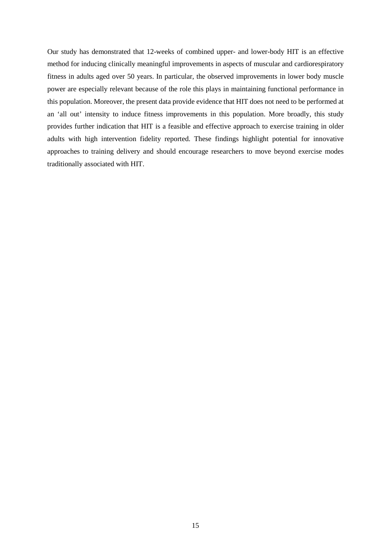Our study has demonstrated that 12-weeks of combined upper- and lower-body HIT is an effective method for inducing clinically meaningful improvements in aspects of muscular and cardiorespiratory fitness in adults aged over 50 years. In particular, the observed improvements in lower body muscle power are especially relevant because of the role this plays in maintaining functional performance in this population. Moreover, the present data provide evidence that HIT does not need to be performed at an 'all out' intensity to induce fitness improvements in this population. More broadly, this study provides further indication that HIT is a feasible and effective approach to exercise training in older adults with high intervention fidelity reported. These findings highlight potential for innovative approaches to training delivery and should encourage researchers to move beyond exercise modes traditionally associated with HIT.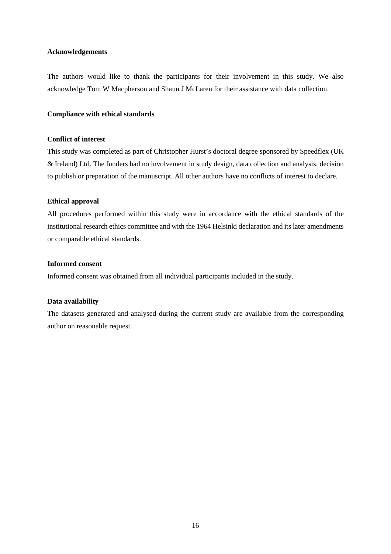## **Acknowledgements**

The authors would like to thank the participants for their involvement in this study. We also acknowledge Tom W Macpherson and Shaun J McLaren for their assistance with data collection.

# **Compliance with ethical standards**

## **Conflict of interest**

This study was completed as part of Christopher Hurst's doctoral degree sponsored by Speedflex (UK & Ireland) Ltd. The funders had no involvement in study design, data collection and analysis, decision to publish or preparation of the manuscript. All other authors have no conflicts of interest to declare.

# **Ethical approval**

All procedures performed within this study were in accordance with the ethical standards of the institutional research ethics committee and with the 1964 Helsinki declaration and its later amendments or comparable ethical standards.

# **Informed consent**

Informed consent was obtained from all individual participants included in the study.

# **Data availability**

The datasets generated and analysed during the current study are available from the corresponding author on reasonable request.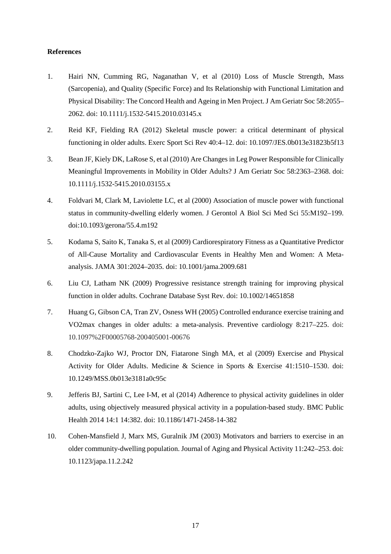# **References**

- 1. Hairi NN, Cumming RG, Naganathan V, et al (2010) Loss of Muscle Strength, Mass (Sarcopenia), and Quality (Specific Force) and Its Relationship with Functional Limitation and Physical Disability: The Concord Health and Ageing in Men Project. J Am Geriatr Soc 58:2055– 2062. doi: 10.1111/j.1532-5415.2010.03145.x
- 2. Reid KF, Fielding RA (2012) Skeletal muscle power: a critical determinant of physical functioning in older adults. Exerc Sport Sci Rev 40:4–12. doi: 10.1097/JES.0b013e31823b5f13
- 3. Bean JF, Kiely DK, LaRose S, et al (2010) Are Changes in Leg Power Responsible for Clinically Meaningful Improvements in Mobility in Older Adults? J Am Geriatr Soc 58:2363–2368. doi: 10.1111/j.1532-5415.2010.03155.x
- 4. Foldvari M, Clark M, Laviolette LC, et al (2000) Association of muscle power with functional status in community-dwelling elderly women. J Gerontol A Biol Sci Med Sci 55:M192–199. doi:10.1093/gerona/55.4.m192
- 5. Kodama S, Saito K, Tanaka S, et al (2009) Cardiorespiratory Fitness as a Quantitative Predictor of All-Cause Mortality and Cardiovascular Events in Healthy Men and Women: A Metaanalysis. JAMA 301:2024–2035. doi: 10.1001/jama.2009.681
- 6. Liu CJ, Latham NK (2009) Progressive resistance strength training for improving physical function in older adults. Cochrane Database Syst Rev. doi: 10.1002/14651858
- 7. Huang G, Gibson CA, Tran ZV, Osness WH (2005) Controlled endurance exercise training and VO2max changes in older adults: a meta-analysis. Preventive cardiology 8:217–225. doi: 10.1097%2F00005768-200405001-00676
- 8. Chodzko-Zajko WJ, Proctor DN, Fiatarone Singh MA, et al (2009) Exercise and Physical Activity for Older Adults. Medicine & Science in Sports & Exercise 41:1510–1530. doi: 10.1249/MSS.0b013e3181a0c95c
- 9. Jefferis BJ, Sartini C, Lee I-M, et al (2014) Adherence to physical activity guidelines in older adults, using objectively measured physical activity in a population-based study. BMC Public Health 2014 14:1 14:382. doi: 10.1186/1471-2458-14-382
- 10. Cohen-Mansfield J, Marx MS, Guralnik JM (2003) Motivators and barriers to exercise in an older community-dwelling population. Journal of Aging and Physical Activity 11:242–253. doi: 10.1123/japa.11.2.242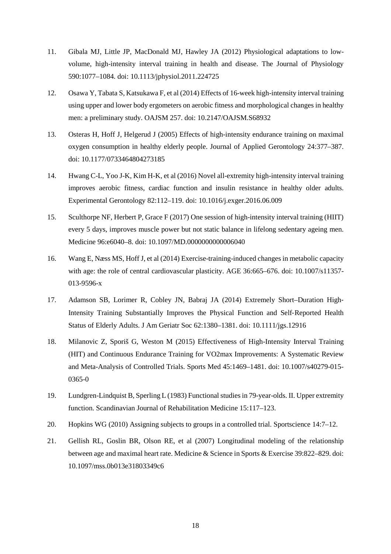- 11. Gibala MJ, Little JP, MacDonald MJ, Hawley JA (2012) Physiological adaptations to lowvolume, high-intensity interval training in health and disease. The Journal of Physiology 590:1077–1084. doi: 10.1113/jphysiol.2011.224725
- 12. Osawa Y, Tabata S, Katsukawa F, et al (2014) Effects of 16-week high-intensity interval training using upper and lower body ergometers on aerobic fitness and morphological changes in healthy men: a preliminary study. OAJSM 257. doi: 10.2147/OAJSM.S68932
- 13. Osteras H, Hoff J, Helgerud J (2005) Effects of high-intensity endurance training on maximal oxygen consumption in healthy elderly people. Journal of Applied Gerontology 24:377–387. doi: 10.1177/0733464804273185
- 14. Hwang C-L, Yoo J-K, Kim H-K, et al (2016) Novel all-extremity high-intensity interval training improves aerobic fitness, cardiac function and insulin resistance in healthy older adults. Experimental Gerontology 82:112–119. doi: 10.1016/j.exger.2016.06.009
- 15. Sculthorpe NF, Herbert P, Grace F (2017) One session of high-intensity interval training (HIIT) every 5 days, improves muscle power but not static balance in lifelong sedentary ageing men. Medicine 96:e6040–8. doi: 10.1097/MD.0000000000006040
- 16. Wang E, Næss MS, Hoff J, et al (2014) Exercise-training-induced changes in metabolic capacity with age: the role of central cardiovascular plasticity. AGE 36:665–676. doi: 10.1007/s11357-013-9596-x
- 17. Adamson SB, Lorimer R, Cobley JN, Babraj JA (2014) Extremely Short–Duration High‐ Intensity Training Substantially Improves the Physical Function and Self‐Reported Health Status of Elderly Adults. J Am Geriatr Soc 62:1380–1381. doi: 10.1111/jgs.12916
- 18. Milanovic Z, Sporiš G, Weston M (2015) Effectiveness of High-Intensity Interval Training (HIT) and Continuous Endurance Training for VO2max Improvements: A Systematic Review and Meta-Analysis of Controlled Trials. Sports Med 45:1469–1481. doi: 10.1007/s40279-015- 0365-0
- 19. Lundgren-Lindquist B, Sperling L (1983) Functional studies in 79-year-olds. II. Upper extremity function. Scandinavian Journal of Rehabilitation Medicine 15:117–123.
- 20. Hopkins WG (2010) Assigning subjects to groups in a controlled trial. Sportscience 14:7–12.
- 21. Gellish RL, Goslin BR, Olson RE, et al (2007) Longitudinal modeling of the relationship between age and maximal heart rate. Medicine & Science in Sports & Exercise 39:822–829. doi: 10.1097/mss.0b013e31803349c6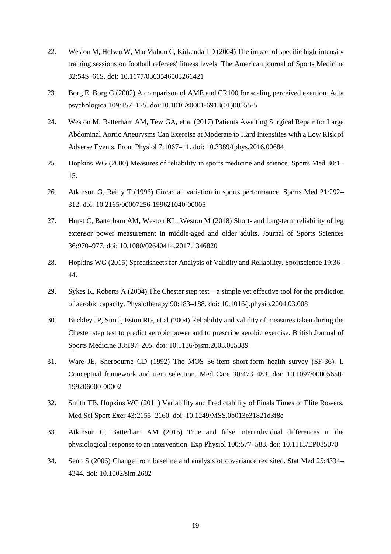- 22. Weston M, Helsen W, MacMahon C, Kirkendall D (2004) The impact of specific high-intensity training sessions on football referees' fitness levels. The American journal of Sports Medicine 32:54S–61S. doi: 10.1177/0363546503261421
- 23. Borg E, Borg G (2002) A comparison of AME and CR100 for scaling perceived exertion. Acta psychologica 109:157–175. doi:10.1016/s0001-6918(01)00055-5
- 24. Weston M, Batterham AM, Tew GA, et al (2017) Patients Awaiting Surgical Repair for Large Abdominal Aortic Aneurysms Can Exercise at Moderate to Hard Intensities with a Low Risk of Adverse Events. Front Physiol 7:1067–11. doi: 10.3389/fphys.2016.00684
- 25. Hopkins WG (2000) Measures of reliability in sports medicine and science. Sports Med 30:1– 15.
- 26. Atkinson G, Reilly T (1996) Circadian variation in sports performance. Sports Med 21:292– 312. doi: 10.2165/00007256-199621040-00005
- 27. Hurst C, Batterham AM, Weston KL, Weston M (2018) Short- and long-term reliability of leg extensor power measurement in middle-aged and older adults. Journal of Sports Sciences 36:970–977. doi: 10.1080/02640414.2017.1346820
- 28. Hopkins WG (2015) Spreadsheets for Analysis of Validity and Reliability. Sportscience 19:36– 44.
- 29. Sykes K, Roberts A (2004) The Chester step test—a simple yet effective tool for the prediction of aerobic capacity. Physiotherapy 90:183–188. doi: 10.1016/j.physio.2004.03.008
- 30. Buckley JP, Sim J, Eston RG, et al (2004) Reliability and validity of measures taken during the Chester step test to predict aerobic power and to prescribe aerobic exercise. British Journal of Sports Medicine 38:197–205. doi: 10.1136/bjsm.2003.005389
- 31. Ware JE, Sherbourne CD (1992) The MOS 36-item short-form health survey (SF-36). I. Conceptual framework and item selection. Med Care 30:473–483. doi: 10.1097/00005650- 199206000-00002
- 32. Smith TB, Hopkins WG (2011) Variability and Predictability of Finals Times of Elite Rowers. Med Sci Sport Exer 43:2155–2160. doi: 10.1249/MSS.0b013e31821d3f8e
- 33. Atkinson G, Batterham AM (2015) True and false interindividual differences in the physiological response to an intervention. Exp Physiol 100:577–588. doi: 10.1113/EP085070
- 34. Senn S (2006) Change from baseline and analysis of covariance revisited. Stat Med 25:4334– 4344. doi: 10.1002/sim.2682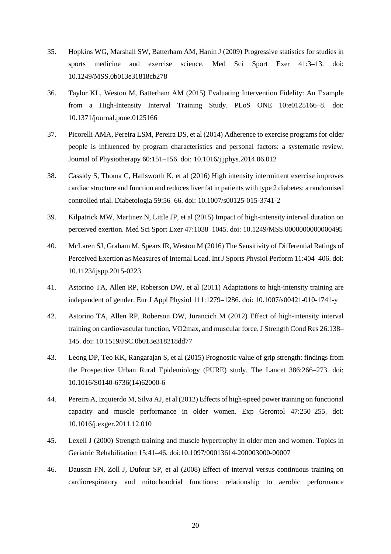- 35. Hopkins WG, Marshall SW, Batterham AM, Hanin J (2009) Progressive statistics for studies in sports medicine and exercise science. Med Sci Sport Exer 41:3–13. doi: 10.1249/MSS.0b013e31818cb278
- 36. Taylor KL, Weston M, Batterham AM (2015) Evaluating Intervention Fidelity: An Example from a High-Intensity Interval Training Study. PLoS ONE 10:e0125166–8. doi: 10.1371/journal.pone.0125166
- 37. Picorelli AMA, Pereira LSM, Pereira DS, et al (2014) Adherence to exercise programs for older people is influenced by program characteristics and personal factors: a systematic review. Journal of Physiotherapy 60:151–156. doi: 10.1016/j.jphys.2014.06.012
- 38. Cassidy S, Thoma C, Hallsworth K, et al (2016) High intensity intermittent exercise improves cardiac structure and function and reduces liver fat in patients with type 2 diabetes: a randomised controlled trial. Diabetologia 59:56–66. doi: 10.1007/s00125-015-3741-2
- 39. Kilpatrick MW, Martinez N, Little JP, et al (2015) Impact of high-intensity interval duration on perceived exertion. Med Sci Sport Exer 47:1038–1045. doi: 10.1249/MSS.0000000000000495
- 40. McLaren SJ, Graham M, Spears IR, Weston M (2016) The Sensitivity of Differential Ratings of Perceived Exertion as Measures of Internal Load. Int J Sports Physiol Perform 11:404–406. doi: 10.1123/ijspp.2015-0223
- 41. Astorino TA, Allen RP, Roberson DW, et al (2011) Adaptations to high-intensity training are independent of gender. Eur J Appl Physiol 111:1279–1286. doi: 10.1007/s00421-010-1741-y
- 42. Astorino TA, Allen RP, Roberson DW, Jurancich M (2012) Effect of high-intensity interval training on cardiovascular function, VO2max, and muscular force. J Strength Cond Res 26:138– 145. doi: 10.1519/JSC.0b013e318218dd77
- 43. Leong DP, Teo KK, Rangarajan S, et al (2015) Prognostic value of grip strength: findings from the Prospective Urban Rural Epidemiology (PURE) study. The Lancet 386:266–273. doi: 10.1016/S0140-6736(14)62000-6
- 44. Pereira A, Izquierdo M, Silva AJ, et al (2012) Effects of high-speed power training on functional capacity and muscle performance in older women. Exp Gerontol 47:250–255. doi: 10.1016/j.exger.2011.12.010
- 45. Lexell J (2000) Strength training and muscle hypertrophy in older men and women. Topics in Geriatric Rehabilitation 15:41–46. doi:10.1097/00013614-200003000-00007
- 46. Daussin FN, Zoll J, Dufour SP, et al (2008) Effect of interval versus continuous training on cardiorespiratory and mitochondrial functions: relationship to aerobic performance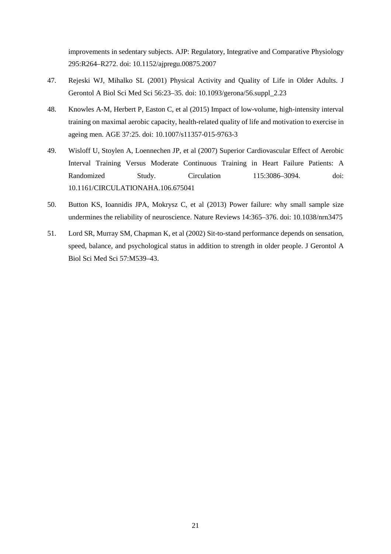improvements in sedentary subjects. AJP: Regulatory, Integrative and Comparative Physiology 295:R264–R272. doi: 10.1152/ajpregu.00875.2007

- 47. Rejeski WJ, Mihalko SL (2001) Physical Activity and Quality of Life in Older Adults. J Gerontol A Biol Sci Med Sci 56:23–35. doi: 10.1093/gerona/56.suppl\_2.23
- 48. Knowles A-M, Herbert P, Easton C, et al (2015) Impact of low-volume, high-intensity interval training on maximal aerobic capacity, health-related quality of life and motivation to exercise in ageing men. AGE 37:25. doi: 10.1007/s11357-015-9763-3
- 49. Wisloff U, Stoylen A, Loennechen JP, et al (2007) Superior Cardiovascular Effect of Aerobic Interval Training Versus Moderate Continuous Training in Heart Failure Patients: A Randomized Study. Circulation 115:3086–3094. doi: 10.1161/CIRCULATIONAHA.106.675041
- 50. Button KS, Ioannidis JPA, Mokrysz C, et al (2013) Power failure: why small sample size undermines the reliability of neuroscience. Nature Reviews 14:365–376. doi: 10.1038/nrn3475
- 51. Lord SR, Murray SM, Chapman K, et al (2002) Sit-to-stand performance depends on sensation, speed, balance, and psychological status in addition to strength in older people. J Gerontol A Biol Sci Med Sci 57:M539–43.